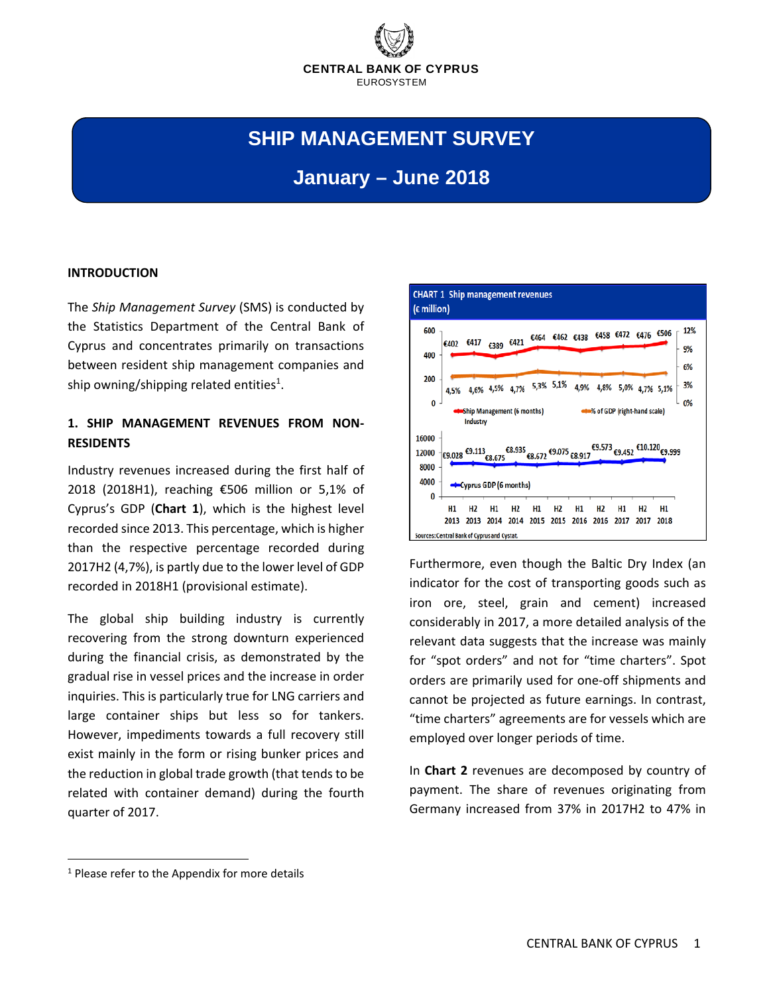

# **SHIP MANAGEMENT SURVEY**

## **January – June 2018**

#### **INTRODUCTION**

The *Ship Management Survey* (SMS) is conducted by the Statistics Department of the Central Bank of Cyprus and concentrates primarily on transactions between resident ship management companies and ship owning/shipping related entities<sup>1</sup>.

### **1. SHIP MANAGEMENT REVENUES FROM NON‐ RESIDENTS**

Industry revenues increased during the first half of 2018 (2018H1), reaching €506 million or 5,1% of Cyprus's GDP (**Chart 1**), which is the highest level recorded since 2013. This percentage, which is higher than the respective percentage recorded during 2017H2 (4,7%), is partly due to the lower level of GDP recorded in 2018H1 (provisional estimate).

The global ship building industry is currently recovering from the strong downturn experienced during the financial crisis, as demonstrated by the gradual rise in vessel prices and the increase in order inquiries. This is particularly true for LNG carriers and large container ships but less so for tankers. However, impediments towards a full recovery still exist mainly in the form or rising bunker prices and the reduction in global trade growth (that tends to be related with container demand) during the fourth quarter of 2017.



Furthermore, even though the Baltic Dry Index (an indicator for the cost of transporting goods such as iron ore, steel, grain and cement) increased considerably in 2017, a more detailed analysis of the relevant data suggests that the increase was mainly for "spot orders" and not for "time charters". Spot orders are primarily used for one‐off shipments and cannot be projected as future earnings. In contrast, "time charters" agreements are for vessels which are employed over longer periods of time.

In **Chart 2** revenues are decomposed by country of payment. The share of revenues originating from Germany increased from 37% in 2017H2 to 47% in

 $<sup>1</sup>$  Please refer to the Appendix for more details</sup>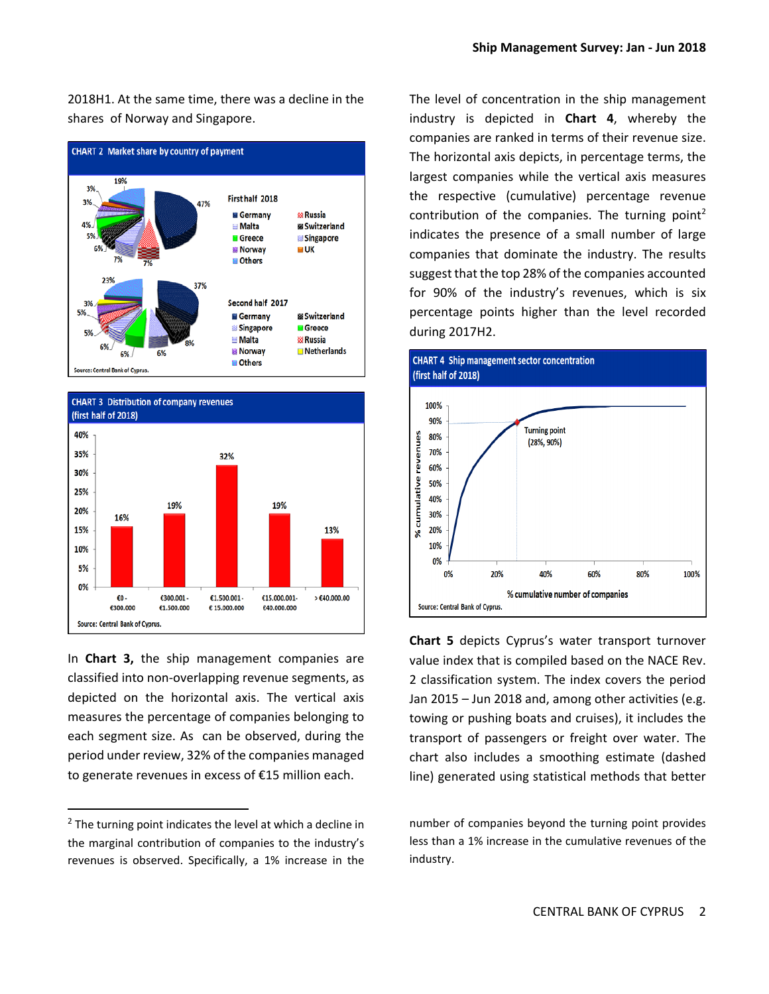2018H1. At the same time, there was a decline in the shares of Norway and Singapore.





In **Chart 3,** the ship management companies are classified into non‐overlapping revenue segments, as depicted on the horizontal axis. The vertical axis measures the percentage of companies belonging to each segment size. As can be observed, during the period under review, 32% of the companies managed to generate revenues in excess of €15 million each.

The level of concentration in the ship management industry is depicted in **Chart 4**, whereby the companies are ranked in terms of their revenue size. The horizontal axis depicts, in percentage terms, the largest companies while the vertical axis measures the respective (cumulative) percentage revenue contribution of the companies. The turning point<sup>2</sup> indicates the presence of a small number of large companies that dominate the industry. The results suggest that the top 28% of the companies accounted for 90% of the industry's revenues, which is six percentage points higher than the level recorded during 2017H2.



**Chart 5** depicts Cyprus's water transport turnover value index that is compiled based on the NACE Rev. 2 classification system. The index covers the period Jan 2015 – Jun 2018 and, among other activities (e.g. towing or pushing boats and cruises), it includes the transport of passengers or freight over water. The chart also includes a smoothing estimate (dashed line) generated using statistical methods that better

number of companies beyond the turning point provides less than a 1% increase in the cumulative revenues of the industry.

 $2$  The turning point indicates the level at which a decline in the marginal contribution of companies to the industry's revenues is observed. Specifically, a 1% increase in the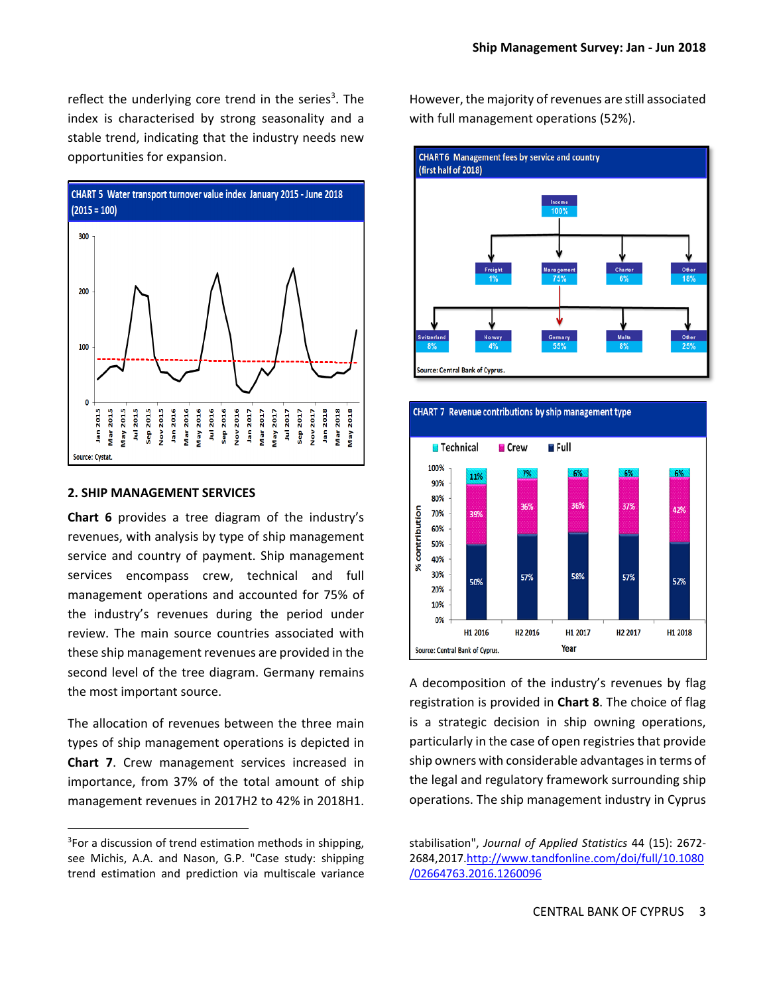reflect the underlying core trend in the series<sup>3</sup>. The index is characterised by strong seasonality and a stable trend, indicating that the industry needs new opportunities for expansion.



#### **2. SHIP MANAGEMENT SERVICES**

**Chart 6** provides a tree diagram of the industry's revenues, with analysis by type of ship management service and country of payment. Ship management services encompass crew, technical and full management operations and accounted for 75% of the industry's revenues during the period under review. The main source countries associated with these ship management revenues are provided in the second level of the tree diagram. Germany remains the most important source.

The allocation of revenues between the three main types of ship management operations is depicted in **Chart 7**. Crew management services increased in importance, from 37% of the total amount of ship management revenues in 2017H2 to 42% in 2018H1.

However, the majority of revenues are still associated with full management operations (52%).





A decomposition of the industry's revenues by flag registration is provided in **Chart 8**. The choice of flag is a strategic decision in ship owning operations, particularly in the case of open registries that provide ship owners with considerable advantages in terms of the legal and regulatory framework surrounding ship operations. The ship management industry in Cyprus

<sup>&</sup>lt;sup>3</sup>For a discussion of trend estimation methods in shipping, see Michis, A.A. and Nason, G.P. "Case study: shipping trend estimation and prediction via multiscale variance

stabilisation", *Journal of Applied Statistics* 44 (15): 2672‐ 2684,2017.http://www.tandfonline.com/doi/full/10.1080 /02664763.2016.1260096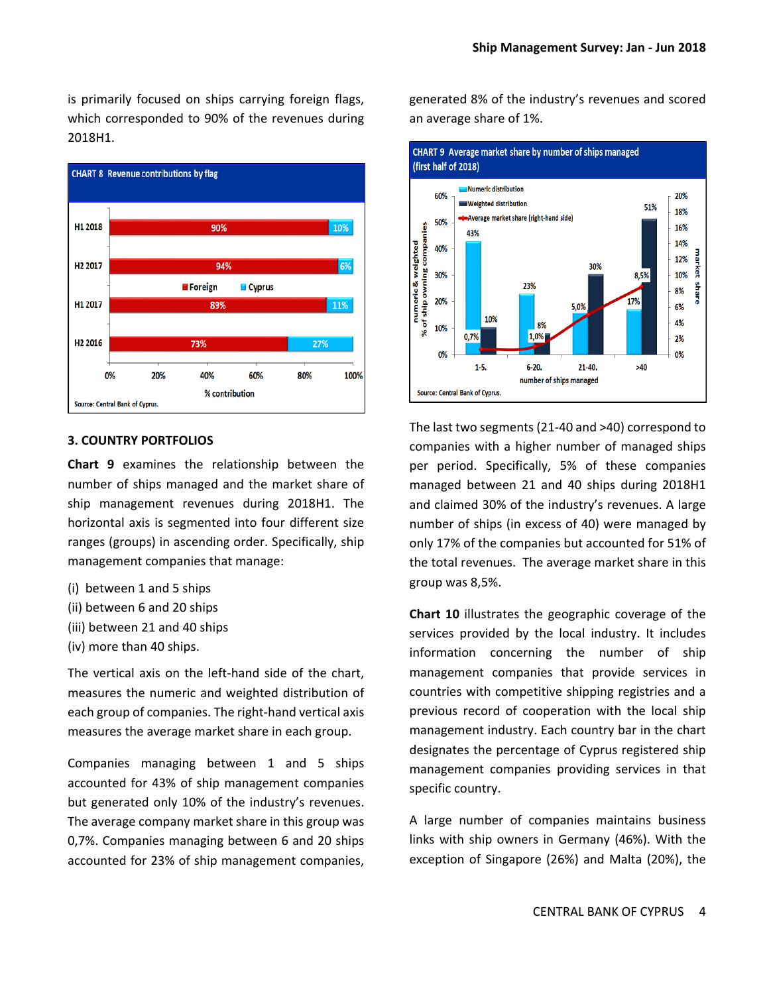is primarily focused on ships carrying foreign flags, which corresponded to 90% of the revenues during 2018H1.



#### **3. COUNTRY PORTFOLIOS**

**Chart 9** examines the relationship between the number of ships managed and the market share of ship management revenues during 2018H1. The horizontal axis is segmented into four different size ranges (groups) in ascending order. Specifically, ship management companies that manage:

- (i) between 1 and 5 ships
- (ii) between 6 and 20 ships
- (iii) between 21 and 40 ships
- (iv) more than 40 ships.

The vertical axis on the left-hand side of the chart, measures the numeric and weighted distribution of each group of companies. The right‐hand vertical axis measures the average market share in each group.

Companies managing between 1 and 5 ships accounted for 43% of ship management companies but generated only 10% of the industry's revenues. The average company market share in this group was 0,7%. Companies managing between 6 and 20 ships accounted for 23% of ship management companies, generated 8% of the industry's revenues and scored an average share of 1%.



The last two segments (21‐40 and >40) correspond to companies with a higher number of managed ships per period. Specifically, 5% of these companies managed between 21 and 40 ships during 2018H1 and claimed 30% of the industry's revenues. A large number of ships (in excess of 40) were managed by only 17% of the companies but accounted for 51% of the total revenues. The average market share in this group was 8,5%.

**Chart 10** illustrates the geographic coverage of the services provided by the local industry. It includes information concerning the number of ship management companies that provide services in countries with competitive shipping registries and a previous record of cooperation with the local ship management industry. Each country bar in the chart designates the percentage of Cyprus registered ship management companies providing services in that specific country.

A large number of companies maintains business links with ship owners in Germany (46%). With the exception of Singapore (26%) and Malta (20%), the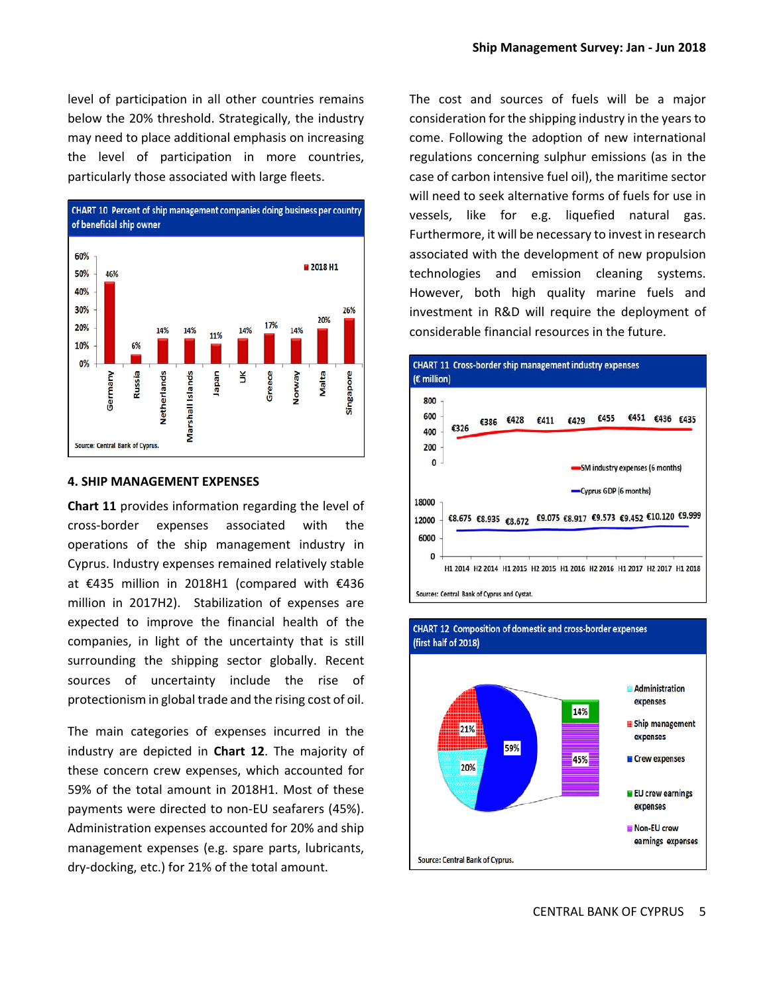level of participation in all other countries remains below the 20% threshold. Strategically, the industry may need to place additional emphasis on increasing the level of participation in more countries, particularly those associated with large fleets.



#### **4. SHIP MANAGEMENT EXPENSES**

**Chart 11** provides information regarding the level of cross‐border expenses associated with the operations of the ship management industry in Cyprus. Industry expenses remained relatively stable at €435 million in 2018H1 (compared with €436 million in 2017H2). Stabilization of expenses are expected to improve the financial health of the companies, in light of the uncertainty that is still surrounding the shipping sector globally. Recent sources of uncertainty include the rise of protectionism in global trade and the rising cost of oil.

The main categories of expenses incurred in the industry are depicted in **Chart 12**. The majority of these concern crew expenses, which accounted for 59% of the total amount in 2018H1. Most of these payments were directed to non‐EU seafarers (45%). Administration expenses accounted for 20% and ship management expenses (e.g. spare parts, lubricants, dry‐docking, etc.) for 21% of the total amount.

The cost and sources of fuels will be a major consideration for the shipping industry in the years to come. Following the adoption of new international regulations concerning sulphur emissions (as in the case of carbon intensive fuel oil), the maritime sector will need to seek alternative forms of fuels for use in vessels, like for e.g. liquefied natural gas. Furthermore, it will be necessary to invest in research associated with the development of new propulsion technologies and emission cleaning systems. However, both high quality marine fuels and investment in R&D will require the deployment of considerable financial resources in the future.